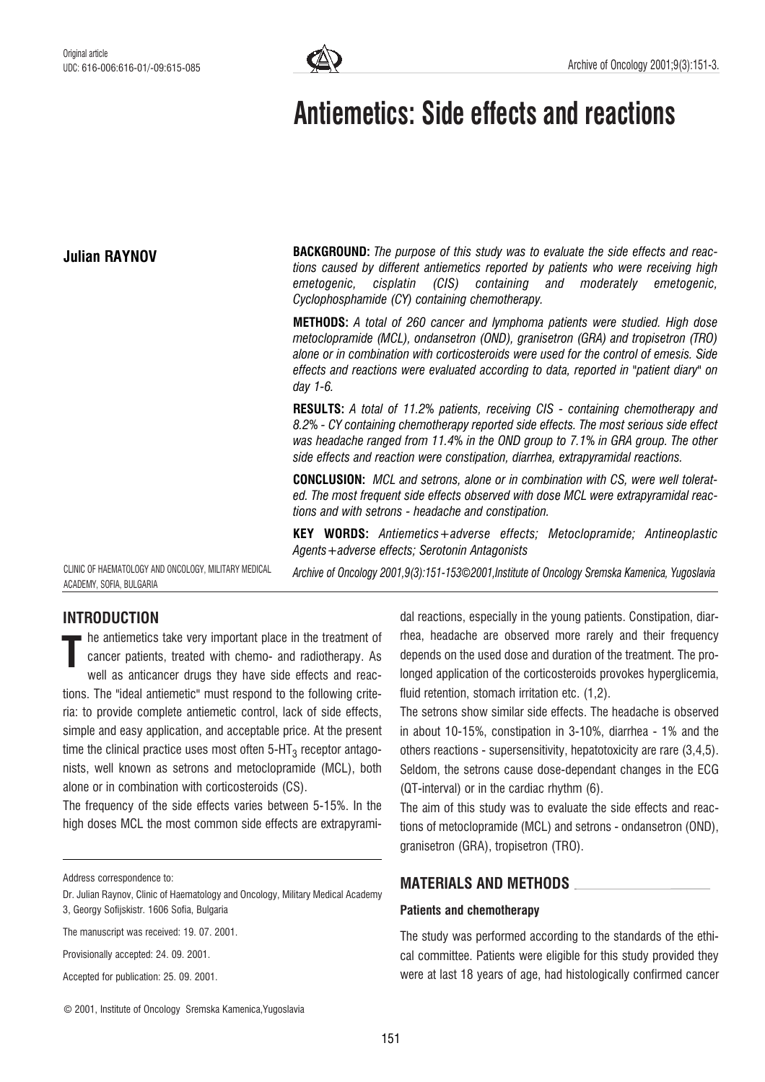

# Antiemetics: Side effects and reactions

## Julian RAYNOV

**BACKGROUND:** The purpose of this study was to evaluate the side effects and reactions caused by different antiemetics reported by patients who were receiving high emetogenic, cisplatin (CIS) containing and moderately emetogenic, Cyclophosphamide (CY) containing chemotherapy.

METHODS: A total of 260 cancer and lymphoma patients were studied. High dose metoclopramide (MCL), ondansetron (OND), granisetron (GRA) and tropisetron (TRO) alone or in combination with corticosteroids were used for the control of emesis. Side effects and reactions were evaluated according to data, reported in "patient diary" on day 1-6.

RESULTS: A total of 11.2% patients, receiving CIS - containing chemotherapy and 8.2% - CY containing chemotherapy reported side effects. The most serious side effect was headache ranged from 11.4% in the OND group to 7.1% in GRA group. The other side effects and reaction were constipation, diarrhea, extrapyramidal reactions.

CONCLUSION: MCL and setrons, alone or in combination with CS, were well tolerated. The most frequent side effects observed with dose MCL were extrapyramidal reactions and with setrons - headache and constipation.

KEY WORDS: Antiemetics+adverse effects; Metoclopramide; Antineoplastic Agents+adverse effects; Serotonin Antagonists

Archive of Oncology 2001,9(3):151-153*©*2001,Institute of Oncology Sremska Kamenica, Yugoslavia

CLINIC OF HAEMATOLOGY AND ONCOLOGY, MILITARY MEDICAL ACADEMY, SOFIA, BULGARIA

# INTRODUCTION

he antiemetics take very important place in the treatment of cancer patients, treated with chemo- and radiotherapy. As well as anticancer drugs they have side effects and reactions. The "ideal antiemetic" must respond to the following criteria: to provide complete antiemetic control, lack of side effects, simple and easy application, and acceptable price. At the present time the clinical practice uses most often  $5-HT<sub>3</sub>$  receptor antagonists, well known as setrons and metoclopramide (MCL), both alone or in combination with corticosteroids (CS). T

The frequency of the side effects varies between 5-15%. In the high doses MCL the most common side effects are extrapyrami-

Provisionally accepted: 24. 09. 2001.

Accepted for publication: 25. 09. 2001.

dal reactions, especially in the young patients. Constipation, diarrhea, headache are observed more rarely and their frequency depends on the used dose and duration of the treatment. The prolonged application of the corticosteroids provokes hyperglicemia, fluid retention, stomach irritation etc. (1,2).

The setrons show similar side effects. The headache is observed in about 10-15%, constipation in 3-10%, diarrhea - 1% and the others reactions - supersensitivity, hepatotoxicity are rare (3,4,5). Seldom, the setrons cause dose-dependant changes in the ECG (QT-interval) or in the cardiac rhythm (6).

The aim of this study was to evaluate the side effects and reactions of metoclopramide (MCL) and setrons - ondansetron (OND), granisetron (GRA), tropisetron (TRO).

## MATERIALS AND METHODS

### Patients and chemotherapy

The study was performed according to the standards of the ethical committee. Patients were eligible for this study provided they were at last 18 years of age, had histologically confirmed cancer

Address correspondence to:

Dr. Julian Raynov, Clinic of Haematology and Oncology, Military Medical Academy 3, Georgy Sofijskistr. 1606 Sofia, Bulgaria

The manuscript was received: 19. 07. 2001.

<sup>©</sup> 2001, Institute of Oncology Sremska Kamenica,Yugoslavia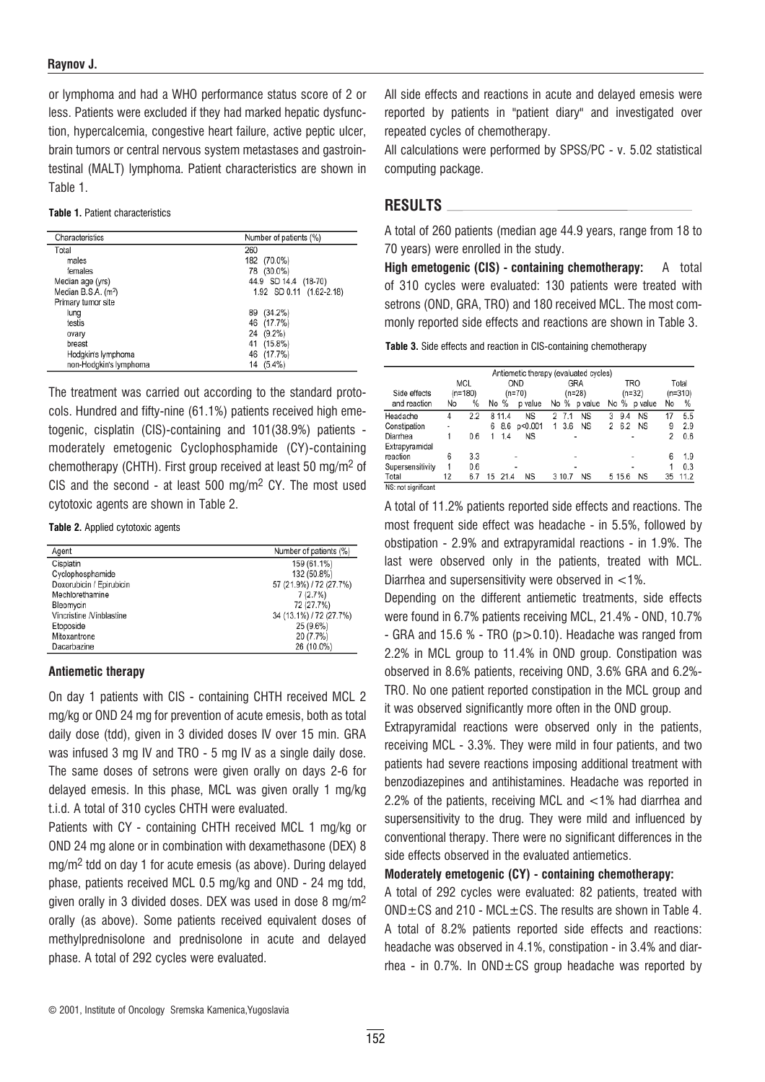## Raynov J.

or lymphoma and had a WHO performance status score of 2 or less. Patients were excluded if they had marked hepatic dysfunction, hypercalcemia, congestive heart failure, active peptic ulcer, brain tumors or central nervous system metastases and gastrointestinal (MALT) lymphoma. Patient characteristics are shown in Table 1.

#### Table 1. Patient characteristics

| Characteristics                 | Number of patients (%)   |  |  |  |
|---------------------------------|--------------------------|--|--|--|
| Total                           | 260                      |  |  |  |
| males                           | 182<br>$(70.0\%)$        |  |  |  |
| females                         | 78<br>(30.0%)            |  |  |  |
| Median age (yrs)                | 44.9 SD 14.4 (18-70)     |  |  |  |
| Median B.S.A. (m <sup>2</sup> ) | 1.92 SD 0.11 (1.62-2.18) |  |  |  |
| Primary tumor site              |                          |  |  |  |
| lung                            | $(34.2\%)$<br>89         |  |  |  |
| testis                          | (17.7%)<br>46            |  |  |  |
| ovary                           | $(9.2\%)$<br>24          |  |  |  |
| breast                          | $(15.8\%)$<br>41         |  |  |  |
| Hodgkin's lymphoma              | (17.7%)<br>46            |  |  |  |
| non-Hodgkin's lymphoma          | $(5.4\%)$<br>14          |  |  |  |

The treatment was carried out according to the standard protocols. Hundred and fifty-nine (61.1%) patients received high emetogenic, cisplatin (CIS)-containing and 101(38.9%) patients moderately emetogenic Cyclophosphamide (CY)-containing chemotherapy (CHTH). First group received at least 50 mg/m2 of CIS and the second - at least 500 mg/m<sup>2</sup> CY. The most used cytotoxic agents are shown in Table 2.

Table 2. Applied cytotoxic agents

| Agent                    | Number of patients (%)  |
|--------------------------|-------------------------|
| Cisplatin                | 159 (61.1%)             |
| Cyclophosphamide         | 132 (50.8%)             |
| Doxorubicin / Epirubicin | 57 (21.9%) / 72 (27.7%) |
| Mechlorethamine          | 7(2.7%)                 |
| Bleomycin                | 72 (27.7%)              |
| Vincristine /Vinblastine | 34 (13.1%) / 72 (27.7%) |
| Etoposide                | 25 (9.6%)               |
| Mitoxantrone             | 20 (7.7%)               |
| Dacarbazine              | 26 (10.0%)              |

## Antiemetic therapy

On day 1 patients with CIS - containing CHTH received MCL 2 mg/kg or OND 24 mg for prevention of acute emesis, both as total daily dose (tdd), given in 3 divided doses IV over 15 min. GRA was infused 3 mg IV and TRO - 5 mg IV as a single daily dose. The same doses of setrons were given orally on days 2-6 for delayed emesis. In this phase, MCL was given orally 1 mg/kg t.i.d. A total of 310 cycles CHTH were evaluated.

Patients with CY - containing CHTH received MCL 1 mg/kg or OND 24 mg alone or in combination with dexamethasone (DEX) 8 mg/m2 tdd on day 1 for acute emesis (as above). During delayed phase, patients received MCL 0.5 mg/kg and OND - 24 mg tdd, given orally in 3 divided doses. DEX was used in dose 8 mg/m2 orally (as above). Some patients received equivalent doses of methylprednisolone and prednisolone in acute and delayed phase. A total of 292 cycles were evaluated.

All side effects and reactions in acute and delayed emesis were reported by patients in "patient diary" and investigated over repeated cycles of chemotherapy.

All calculations were performed by SPSS/PC - v. 5.02 statistical computing package.

## RESULTS

A total of 260 patients (median age 44.9 years, range from 18 to 70 years) were enrolled in the study.

High emetogenic (CIS) - containing chemotherapy: A total of 310 cycles were evaluated: 130 patients were treated with setrons (OND, GRA, TRO) and 180 received MCL. The most commonly reported side effects and reactions are shown in Table 3.

Table 3. Side effects and reaction in CIS-containing chemotherapy

|                     |    |                  |                 |           | Antiemetic therapy (evaluated cycles) |                        |                    |      |
|---------------------|----|------------------|-----------------|-----------|---------------------------------------|------------------------|--------------------|------|
| Side effects        |    | MCL<br>$(n=180)$ | OND<br>$(n=70)$ |           | GRA<br>$(n=28)$                       | <b>TRO</b><br>$(n=32)$ | Total<br>$(n=310)$ |      |
| and reaction        | No | %                | %<br>No         | p value   | No %<br>p value                       | %<br>No<br>p value     | No                 | %    |
| Headache            | 4  | 2.2              | 11.4<br>8       | <b>NS</b> | <b>NS</b><br>2<br>7.1                 | <b>NS</b><br>3<br>9.4  | 17                 | 5.5  |
| Constipation        | ۰  |                  | 8.6<br>6        | p<0.001   | 3.6<br><b>NS</b><br>1                 | 6.2<br>2<br><b>NS</b>  | 9                  | 2.9  |
| Diarrhea            | 1  | 0.6              | 1.4             | ΝS        | ٠                                     | ۰                      | 2                  | 0.6  |
| Extrapyramidal      |    |                  |                 |           |                                       |                        |                    |      |
| reaction            | 6  | 3.3              |                 |           |                                       | ۰                      | 6                  | 1.9  |
| Supersensitivity    | 1  | 0.6              |                 | ۰         | ۰                                     | ۰                      |                    | 0.3  |
| Total               | 12 | 6.7              | 15<br>21.4      | ΝS        | NS<br>3 10.7                          | <b>NS</b><br>5 15.6    | 35                 | 11.2 |
| NS: not significant |    |                  |                 |           |                                       |                        |                    |      |

A total of 11.2% patients reported side effects and reactions. The most frequent side effect was headache - in 5.5%, followed by obstipation - 2.9% and extrapyramidal reactions - in 1.9%. The last were observed only in the patients, treated with MCL. Diarrhea and supersensitivity were observed in <1%.

Depending on the different antiemetic treatments, side effects were found in 6.7% patients receiving MCL, 21.4% - OND, 10.7% - GRA and 15.6 % - TRO (p>0.10). Headache was ranged from 2.2% in MCL group to 11.4% in OND group. Constipation was observed in 8.6% patients, receiving OND, 3.6% GRA and 6.2%- TRO. No one patient reported constipation in the MCL group and it was observed significantly more often in the OND group.

Extrapyramidal reactions were observed only in the patients, receiving MCL - 3.3%. They were mild in four patients, and two patients had severe reactions imposing additional treatment with benzodiazepines and antihistamines. Headache was reported in 2.2% of the patients, receiving MCL and <1% had diarrhea and supersensitivity to the drug. They were mild and influenced by conventional therapy. There were no significant differences in the side effects observed in the evaluated antiemetics.

Moderately emetogenic (CY) - containing chemotherapy:

A total of 292 cycles were evaluated: 82 patients, treated with  $OND \pm CS$  and 210 - MCL $\pm CS$ . The results are shown in Table 4. A total of 8.2% patients reported side effects and reactions: headache was observed in 4.1%, constipation - in 3.4% and diarrhea - in 0.7%. In  $OND \pm CS$  group headache was reported by